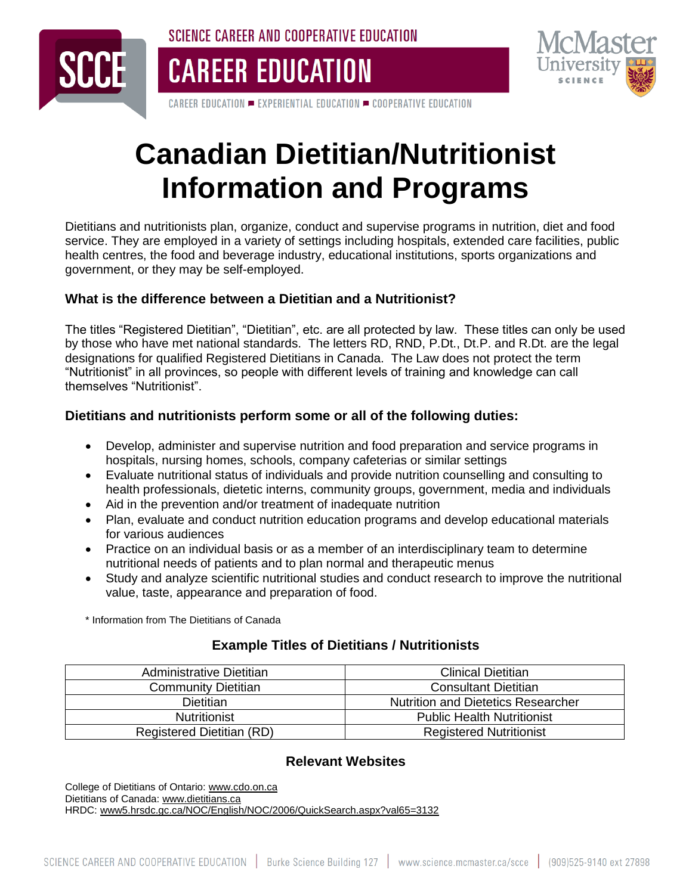**CAREER EDUCATION** 





CAREER EDUCATION  $=$  EXPERIENTIAL EDUCATION  $=$  COOPERATIVE EDUCATION

# **Canadian Dietitian/Nutritionist Information and Programs**

Dietitians and nutritionists plan, organize, conduct and supervise programs in nutrition, diet and food service. They are employed in a variety of settings including hospitals, extended care facilities, public health centres, the food and beverage industry, educational institutions, sports organizations and government, or they may be self-employed.

#### **What is the difference between a Dietitian and a Nutritionist?**

The titles "Registered Dietitian", "Dietitian", etc. are all protected by law. These titles can only be used by those who have met national standards. The letters RD, RND, P.Dt., Dt.P. and R.Dt. are the legal designations for qualified Registered Dietitians in Canada. The Law does not protect the term "Nutritionist" in all provinces, so people with different levels of training and knowledge can call themselves "Nutritionist".

#### **Dietitians and nutritionists perform some or all of the following duties:**

- Develop, administer and supervise nutrition and food preparation and service programs in hospitals, nursing homes, schools, company cafeterias or similar settings
- Evaluate nutritional status of individuals and provide nutrition counselling and consulting to health professionals, dietetic interns, community groups, government, media and individuals
- Aid in the prevention and/or treatment of inadequate nutrition
- Plan, evaluate and conduct nutrition education programs and develop educational materials for various audiences
- Practice on an individual basis or as a member of an interdisciplinary team to determine nutritional needs of patients and to plan normal and therapeutic menus
- Study and analyze scientific nutritional studies and conduct research to improve the nutritional value, taste, appearance and preparation of food.

\* Information from The Dietitians of Canada

## **Example Titles of Dietitians / Nutritionists**

| Administrative Dietitian   | <b>Clinical Dietitian</b>                 |
|----------------------------|-------------------------------------------|
| <b>Community Dietitian</b> | <b>Consultant Dietitian</b>               |
| <b>Dietitian</b>           | <b>Nutrition and Dietetics Researcher</b> |
| <b>Nutritionist</b>        | <b>Public Health Nutritionist</b>         |
| Registered Dietitian (RD)  | <b>Registered Nutritionist</b>            |

## **Relevant Websites**

College of Dietitians of Ontario[: www.cdo.on.ca](http://www.cdo.on.ca/en/) Dietitians of Canada[: www.dietitians.ca](http://www.dietitians.ca/) HRDC[: www5.hrsdc.gc.ca/NOC/English/NOC/2006/QuickSearch.aspx?val65=3132](http://www5.hrsdc.gc.ca/NOC/English/NOC/2006/QuickSearch.aspx?val65=3132)